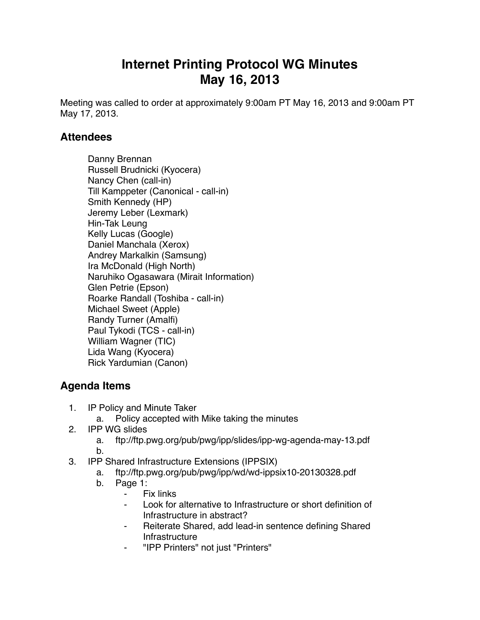## **Internet Printing Protocol WG Minutes May 16, 2013**

Meeting was called to order at approximately 9:00am PT May 16, 2013 and 9:00am PT May 17, 2013.

## **Attendees**

Danny Brennan Russell Brudnicki (Kyocera) Nancy Chen (call-in) Till Kamppeter (Canonical - call-in) Smith Kennedy (HP) Jeremy Leber (Lexmark) Hin-Tak Leung Kelly Lucas (Google) Daniel Manchala (Xerox) Andrey Markalkin (Samsung) Ira McDonald (High North) Naruhiko Ogasawara (Mirait Information) Glen Petrie (Epson) Roarke Randall (Toshiba - call-in) Michael Sweet (Apple) Randy Turner (Amalfi) Paul Tykodi (TCS - call-in) William Wagner (TIC) Lida Wang (Kyocera) Rick Yardumian (Canon)

## **Agenda Items**

- 1. IP Policy and Minute Taker
	- a. Policy accepted with Mike taking the minutes
- 2. IPP WG slides
	- a. ftp://ftp.pwg.org/pub/pwg/ipp/slides/ipp-wg-agenda-may-13.pdf
	- b.
- 3. IPP Shared Infrastructure Extensions (IPPSIX)
	- a. ftp://ftp.pwg.org/pub/pwg/ipp/wd/wd-ippsix10-20130328.pdf
	- b. Page 1:
		- ⁃ Fix links
		- Look for alternative to Infrastructure or short definition of Infrastructure in abstract?
		- ⁃ Reiterate Shared, add lead-in sentence defining Shared Infrastructure
		- ⁃ "IPP Printers" not just "Printers"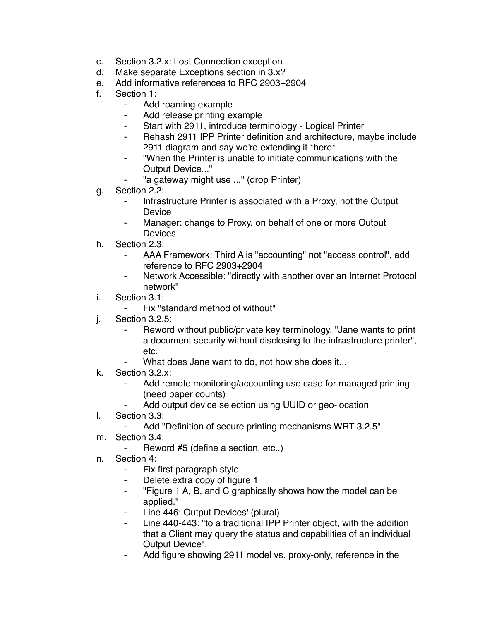- c. Section 3.2.x: Lost Connection exception
- d. Make separate Exceptions section in 3.x?
- e. Add informative references to RFC 2903+2904
- f. Section 1:
	- ⁃ Add roaming example
	- Add release printing example
	- Start with 2911, introduce terminology Logical Printer
	- Rehash 2911 IPP Printer definition and architecture, maybe include 2911 diagram and say we're extending it \*here\*
	- ⁃ "When the Printer is unable to initiate communications with the Output Device..."
	- "a gateway might use ..." (drop Printer)
- g. Section 2.2:
	- ⁃ Infrastructure Printer is associated with a Proxy, not the Output Device
	- Manager: change to Proxy, on behalf of one or more Output Devices
- h. Section 2.3:
	- AAA Framework: Third A is "accounting" not "access control", add reference to RFC 2903+2904
	- ⁃ Network Accessible: "directly with another over an Internet Protocol network"
- i. Section 3.1:
	- Fix "standard method of without"
- j. Section 3.2.5:
	- Reword without public/private key terminology, "Jane wants to print a document security without disclosing to the infrastructure printer", etc.
	- What does Jane want to do, not how she does it...
- k. Section 3.2.x:
	- Add remote monitoring/accounting use case for managed printing (need paper counts)
	- Add output device selection using UUID or geo-location
- l. Section 3.3:
	- Add "Definition of secure printing mechanisms WRT 3.2.5"
- m. Section 3.4:
	- ⁃ Reword #5 (define a section, etc..)
- n. Section 4:
	- Fix first paragraph style
	- ⁃ Delete extra copy of figure 1
	- ⁃ "Figure 1 A, B, and C graphically shows how the model can be applied."
	- Line 446: Output Devices' (plural)
	- Line 440-443: "to a traditional IPP Printer object, with the addition that a Client may query the status and capabilities of an individual Output Device".
	- Add figure showing 2911 model vs. proxy-only, reference in the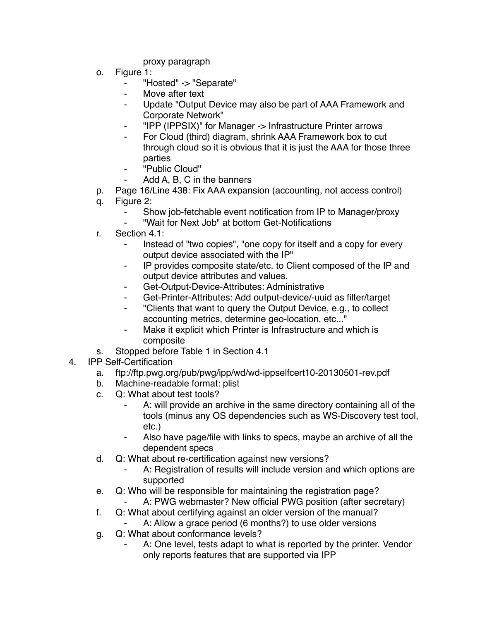proxy paragraph

- o. Figure 1:
	- ⁃ "Hosted" -> "Separate"
	- Move after text
	- ⁃ Update "Output Device may also be part of AAA Framework and Corporate Network"
	- ⁃ "IPP (IPPSIX)" for Manager -> Infrastructure Printer arrows
	- For Cloud (third) diagram, shrink AAA Framework box to cut through cloud so it is obvious that it is just the AAA for those three parties
	- ⁃ "Public Cloud"
		- Add A, B, C in the banners
- p. Page 16/Line 438: Fix AAA expansion (accounting, not access control)
- q. Figure 2:
	- ⁃ Show job-fetchable event notification from IP to Manager/proxy
	- ⁃ "Wait for Next Job" at bottom Get-Notifications
- r. Section 4.1:
	- Instead of "two copies", "one copy for itself and a copy for every output device associated with the IP"
	- ⁃ IP provides composite state/etc. to Client composed of the IP and output device attributes and values.
	- ⁃ Get-Output-Device-Attributes: Administrative
	- Get-Printer-Attributes: Add output-device/-uuid as filter/target
	- ⁃ "Clients that want to query the Output Device, e.g., to collect accounting metrics, determine geo-location, etc..."
	- Make it explicit which Printer is Infrastructure and which is composite
- s. Stopped before Table 1 in Section 4.1
- 4. IPP Self-Certification
	- a. ftp://ftp.pwg.org/pub/pwg/ipp/wd/wd-ippselfcert10-20130501-rev.pdf
	- b. Machine-readable format: plist
	- c. Q: What about test tools?
		- A: will provide an archive in the same directory containing all of the tools (minus any OS dependencies such as WS-Discovery test tool, etc.)
		- Also have page/file with links to specs, maybe an archive of all the dependent specs
	- d. Q: What about re-certification against new versions?
		- A: Registration of results will include version and which options are supported
	- e. Q: Who will be responsible for maintaining the registration page?
		- A: PWG webmaster? New official PWG position (after secretary)
	- f. Q: What about certifying against an older version of the manual?
		- A: Allow a grace period (6 months?) to use older versions
	- g. Q: What about conformance levels?
		- A: One level, tests adapt to what is reported by the printer. Vendor only reports features that are supported via IPP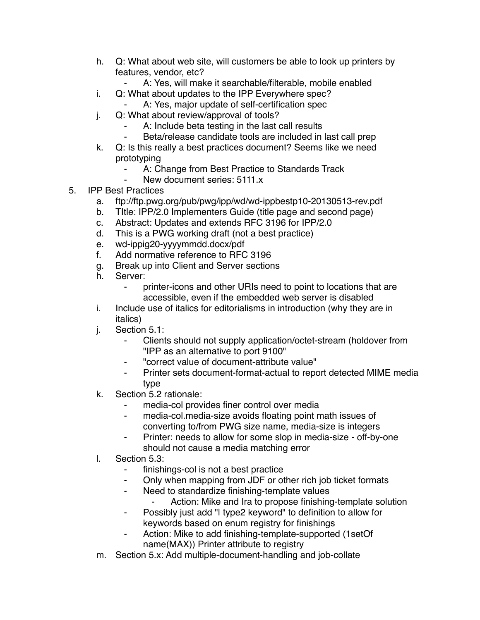- h. Q: What about web site, will customers be able to look up printers by features, vendor, etc?
	- A: Yes, will make it searchable/filterable, mobile enabled
- i. Q: What about updates to the IPP Everywhere spec?
	- A: Yes, major update of self-certification spec
- j. Q: What about review/approval of tools?
	- ⁃ A: Include beta testing in the last call results
	- ⁃ Beta/release candidate tools are included in last call prep
- k. Q: Is this really a best practices document? Seems like we need prototyping
	- A: Change from Best Practice to Standards Track
	- New document series: 5111.x
- 5. IPP Best Practices
	- a. ftp://ftp.pwg.org/pub/pwg/ipp/wd/wd-ippbestp10-20130513-rev.pdf
	- b. TItle: IPP/2.0 Implementers Guide (title page and second page)
	- c. Abstract: Updates and extends RFC 3196 for IPP/2.0
	- d. This is a PWG working draft (not a best practice)
	- e. wd-ippig20-yyyymmdd.docx/pdf
	- f. Add normative reference to RFC 3196
	- g. Break up into Client and Server sections
	- h. Server:
		- ⁃ printer-icons and other URIs need to point to locations that are accessible, even if the embedded web server is disabled
	- i. Include use of italics for editorialisms in introduction (why they are in italics)
	- j. Section 5.1:
		- ⁃ Clients should not supply application/octet-stream (holdover from "IPP as an alternative to port 9100"
		- ⁃ "correct value of document-attribute value"
		- Printer sets document-format-actual to report detected MIME media type
	- k. Section 5.2 rationale:
		- media-col provides finer control over media
		- ⁃ media-col.media-size avoids floating point math issues of converting to/from PWG size name, media-size is integers
		- Printer: needs to allow for some slop in media-size off-by-one should not cause a media matching error
	- l. Section 5.3:
		- finishings-col is not a best practice
		- ⁃ Only when mapping from JDF or other rich job ticket formats
		- ⁃ Need to standardize finishing-template values
			- ⁃ Action: Mike and Ira to propose finishing-template solution
		- Possibly just add "I type2 keyword" to definition to allow for keywords based on enum registry for finishings
		- Action: Mike to add finishing-template-supported (1setOf name(MAX)) Printer attribute to registry
	- m. Section 5.x: Add multiple-document-handling and job-collate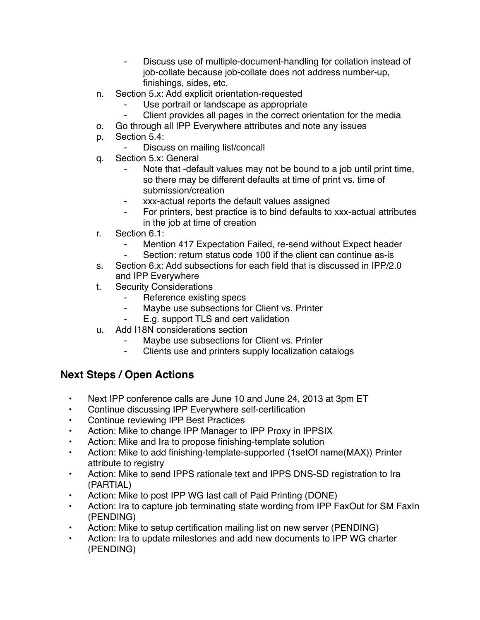- ⁃ Discuss use of multiple-document-handling for collation instead of job-collate because job-collate does not address number-up, finishings, sides, etc.
- n. Section 5.x: Add explicit orientation-requested
	- Use portrait or landscape as appropriate
	- Client provides all pages in the correct orientation for the media
- o. Go through all IPP Everywhere attributes and note any issues
- p. Section 5.4:
	- Discuss on mailing list/concall
- q. Section 5.x: General
	- Note that -default values may not be bound to a job until print time, so there may be different defaults at time of print vs. time of submission/creation
	- xxx-actual reports the default values assigned
	- For printers, best practice is to bind defaults to xxx-actual attributes in the job at time of creation
- r. Section 6.1:
	- Mention 417 Expectation Failed, re-send without Expect header
	- Section: return status code 100 if the client can continue as-is
- s. Section 6.x: Add subsections for each field that is discussed in IPP/2.0 and IPP Everywhere
- t. Security Considerations
	- Reference existing specs
	- ⁃ Maybe use subsections for Client vs. Printer
	- ⁃ E.g. support TLS and cert validation
- u. Add I18N considerations section
	- Maybe use subsections for Client vs. Printer
	- ⁃ Clients use and printers supply localization catalogs

## **Next Steps / Open Actions**

- Next IPP conference calls are June 10 and June 24, 2013 at 3pm ET
- Continue discussing IPP Everywhere self-certification
- Continue reviewing IPP Best Practices
- Action: Mike to change IPP Manager to IPP Proxy in IPPSIX
- Action: Mike and Ira to propose finishing-template solution
- Action: Mike to add finishing-template-supported (1setOf name(MAX)) Printer attribute to registry
- Action: Mike to send IPPS rationale text and IPPS DNS-SD registration to Ira (PARTIAL)
- Action: Mike to post IPP WG last call of Paid Printing (DONE)
- Action: Ira to capture job terminating state wording from IPP FaxOut for SM FaxIn (PENDING)
- Action: Mike to setup certification mailing list on new server (PENDING)
- Action: Ira to update milestones and add new documents to IPP WG charter (PENDING)